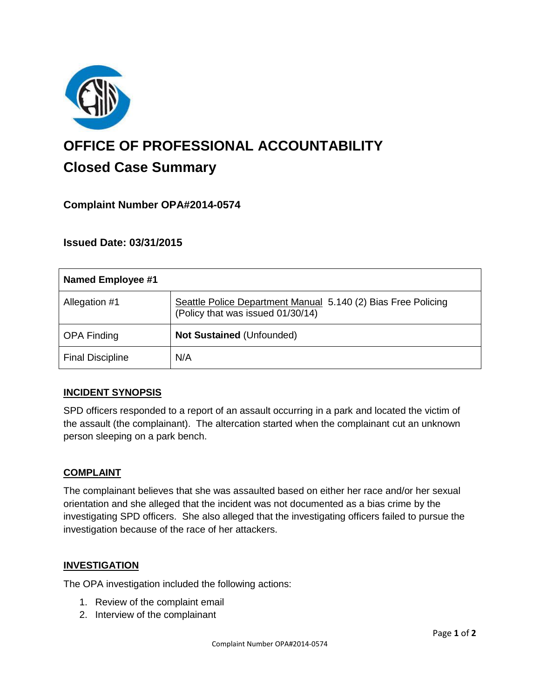

# **OFFICE OF PROFESSIONAL ACCOUNTABILITY Closed Case Summary**

# **Complaint Number OPA#2014-0574**

## **Issued Date: 03/31/2015**

| <b>Named Employee #1</b> |                                                                                                    |
|--------------------------|----------------------------------------------------------------------------------------------------|
| Allegation #1            | Seattle Police Department Manual 5.140 (2) Bias Free Policing<br>(Policy that was issued 01/30/14) |
| <b>OPA Finding</b>       | Not Sustained (Unfounded)                                                                          |
| <b>Final Discipline</b>  | N/A                                                                                                |

#### **INCIDENT SYNOPSIS**

SPD officers responded to a report of an assault occurring in a park and located the victim of the assault (the complainant). The altercation started when the complainant cut an unknown person sleeping on a park bench.

#### **COMPLAINT**

The complainant believes that she was assaulted based on either her race and/or her sexual orientation and she alleged that the incident was not documented as a bias crime by the investigating SPD officers. She also alleged that the investigating officers failed to pursue the investigation because of the race of her attackers.

#### **INVESTIGATION**

The OPA investigation included the following actions:

- 1. Review of the complaint email
- 2. Interview of the complainant